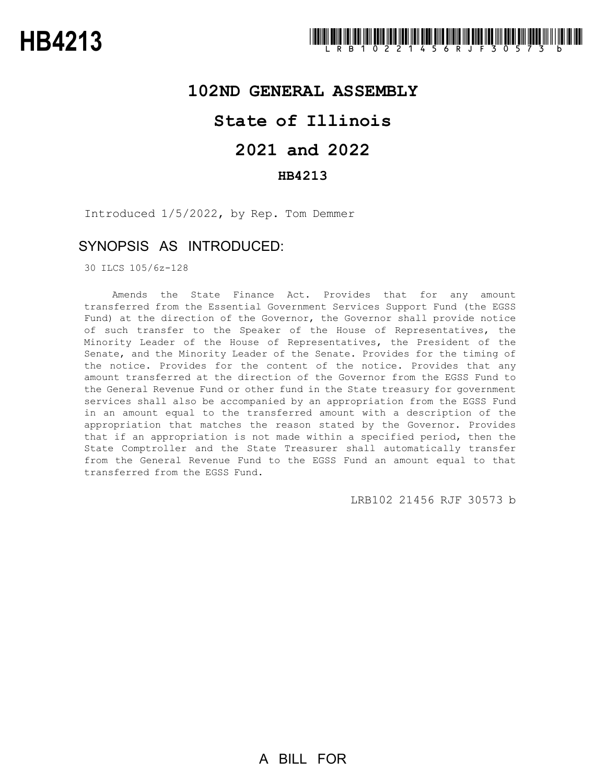# **102ND GENERAL ASSEMBLY**

# **State of Illinois**

# **2021 and 2022**

### **HB4213**

Introduced 1/5/2022, by Rep. Tom Demmer

# SYNOPSIS AS INTRODUCED:

30 ILCS 105/6z-128

Amends the State Finance Act. Provides that for any amount transferred from the Essential Government Services Support Fund (the EGSS Fund) at the direction of the Governor, the Governor shall provide notice of such transfer to the Speaker of the House of Representatives, the Minority Leader of the House of Representatives, the President of the Senate, and the Minority Leader of the Senate. Provides for the timing of the notice. Provides for the content of the notice. Provides that any amount transferred at the direction of the Governor from the EGSS Fund to the General Revenue Fund or other fund in the State treasury for government services shall also be accompanied by an appropriation from the EGSS Fund in an amount equal to the transferred amount with a description of the appropriation that matches the reason stated by the Governor. Provides that if an appropriation is not made within a specified period, then the State Comptroller and the State Treasurer shall automatically transfer from the General Revenue Fund to the EGSS Fund an amount equal to that transferred from the EGSS Fund.

LRB102 21456 RJF 30573 b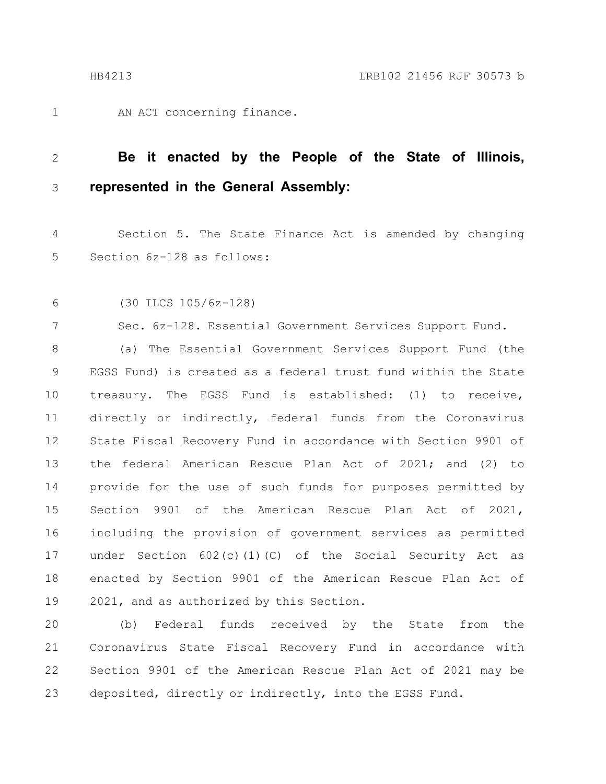AN ACT concerning finance. 1

#### **Be it enacted by the People of the State of Illinois, represented in the General Assembly:** 2 3

Section 5. The State Finance Act is amended by changing Section 6z-128 as follows: 4 5

(30 ILCS 105/6z-128) 6

7

Sec. 6z-128. Essential Government Services Support Fund.

(a) The Essential Government Services Support Fund (the EGSS Fund) is created as a federal trust fund within the State treasury. The EGSS Fund is established: (1) to receive, directly or indirectly, federal funds from the Coronavirus State Fiscal Recovery Fund in accordance with Section 9901 of the federal American Rescue Plan Act of 2021; and (2) to provide for the use of such funds for purposes permitted by Section 9901 of the American Rescue Plan Act of 2021, including the provision of government services as permitted under Section 602(c)(1)(C) of the Social Security Act as enacted by Section 9901 of the American Rescue Plan Act of 2021, and as authorized by this Section. 8 9 10 11 12 13 14 15 16 17 18 19

(b) Federal funds received by the State from the Coronavirus State Fiscal Recovery Fund in accordance with Section 9901 of the American Rescue Plan Act of 2021 may be deposited, directly or indirectly, into the EGSS Fund. 20 21 22 23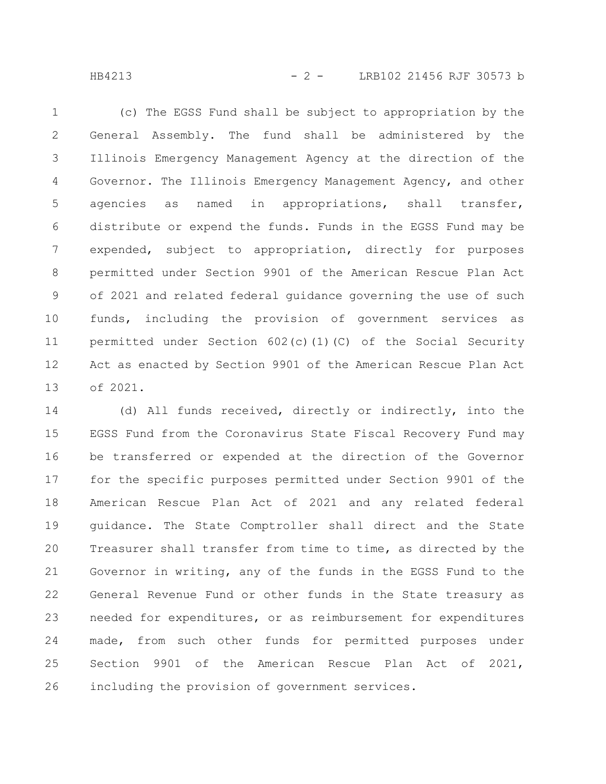HB4213 - 2 - LRB102 21456 RJF 30573 b

(c) The EGSS Fund shall be subject to appropriation by the General Assembly. The fund shall be administered by the Illinois Emergency Management Agency at the direction of the Governor. The Illinois Emergency Management Agency, and other agencies as named in appropriations, shall transfer, distribute or expend the funds. Funds in the EGSS Fund may be expended, subject to appropriation, directly for purposes permitted under Section 9901 of the American Rescue Plan Act of 2021 and related federal guidance governing the use of such funds, including the provision of government services as permitted under Section 602(c)(1)(C) of the Social Security Act as enacted by Section 9901 of the American Rescue Plan Act of 2021. 1 2 3 4 5 6 7 8 9 10 11 12 13

(d) All funds received, directly or indirectly, into the EGSS Fund from the Coronavirus State Fiscal Recovery Fund may be transferred or expended at the direction of the Governor for the specific purposes permitted under Section 9901 of the American Rescue Plan Act of 2021 and any related federal guidance. The State Comptroller shall direct and the State Treasurer shall transfer from time to time, as directed by the Governor in writing, any of the funds in the EGSS Fund to the General Revenue Fund or other funds in the State treasury as needed for expenditures, or as reimbursement for expenditures made, from such other funds for permitted purposes under Section 9901 of the American Rescue Plan Act of 2021, including the provision of government services. 14 15 16 17 18 19 20 21 22 23 24 25 26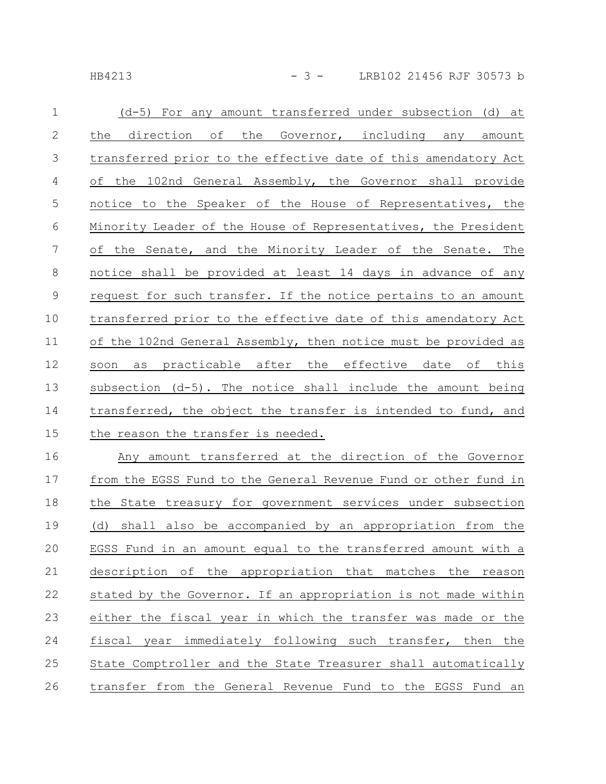HB4213 - 3 - LRB102 21456 RJF 30573 b

| (d-5) For any amount transferred under subsection (d) at        |
|-----------------------------------------------------------------|
| the direction of the Governor, including any amount             |
| transferred prior to the effective date of this amendatory Act  |
| of the 102nd General Assembly, the Governor shall provide       |
| notice to the Speaker of the House of Representatives, the      |
| Minority Leader of the House of Representatives, the President  |
| of the Senate, and the Minority Leader of the Senate. The       |
| notice shall be provided at least 14 days in advance of any     |
| request for such transfer. If the notice pertains to an amount  |
| transferred prior to the effective date of this amendatory Act  |
| of the 102nd General Assembly, then notice must be provided as  |
| as practicable after the effective date of this<br>soon         |
| subsection (d-5). The notice shall include the amount being     |
| transferred, the object the transfer is intended to fund, and   |
| the reason the transfer is needed.                              |
| Any amount transferred at the direction of the Governor         |
| from the EGSS Fund to the General Revenue Fund or other fund in |
| the State treasury for government services under subsection     |
| (d) shall also be accompanied by an appropriation from the      |
| EGSS Fund in an amount equal to the transferred amount with a   |
| description of the appropriation that matches<br>the<br>reason  |
| stated by the Governor. If an appropriation is not made within  |
| either the fiscal year in which the transfer was made or the    |
|                                                                 |

fiscal year immediately following such transfer, then the State Comptroller and the State Treasurer shall automatically transfer from the General Revenue Fund to the EGSS Fund an 24 25 26